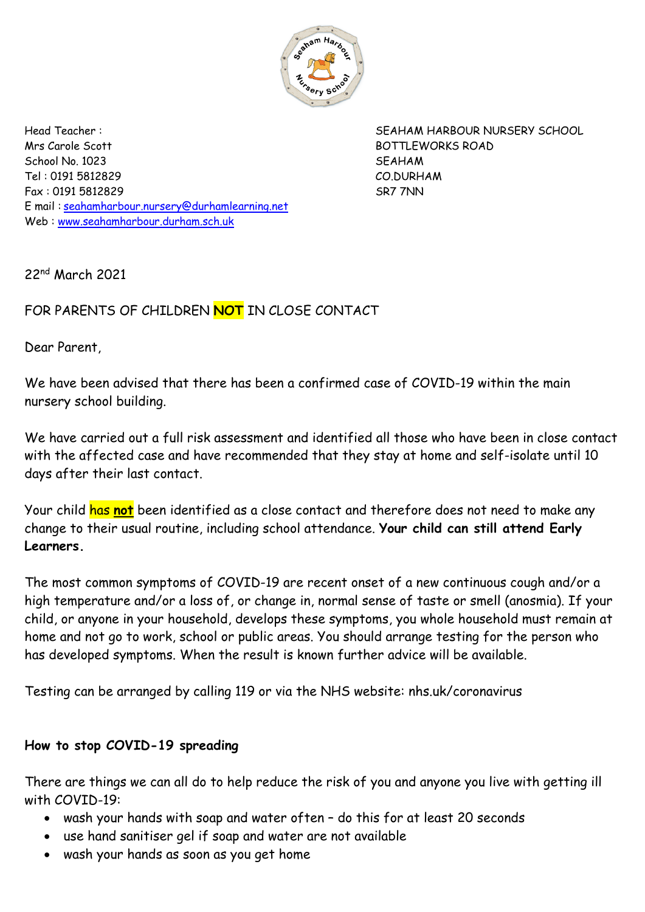

Mrs Carole Scott BOTTLEWORKS ROAD School No. 1023 SEAHAM Tel : 0191 5812829 CO.DURHAM Fax : 0191 5812829 SR7 7NN E mail : [seahamharbour.nursery@durhamlearning.net](mailto:seahamharbour.nursery@durhamlearning.net) Web : [www.seahamharbour.durham.sch.uk](http://www.seahamharbour.durham.sch.uk/)

Head Teacher : SEAHAM HARBOUR NURSERY SCHOOL

22nd March 2021

## FOR PARENTS OF CHILDREN **NOT** IN CLOSE CONTACT

Dear Parent,

We have been advised that there has been a confirmed case of COVID-19 within the main nursery school building.

We have carried out a full risk assessment and identified all those who have been in close contact with the affected case and have recommended that they stay at home and self-isolate until 10 days after their last contact.

Your child has **not** been identified as a close contact and therefore does not need to make any change to their usual routine, including school attendance. **Your child can still attend Early Learners.**

The most common symptoms of COVID-19 are recent onset of a new continuous cough and/or a high temperature and/or a loss of, or change in, normal sense of taste or smell (anosmia). If your child, or anyone in your household, develops these symptoms, you whole household must remain at home and not go to work, school or public areas. You should arrange testing for the person who has developed symptoms. When the result is known further advice will be available.

Testing can be arranged by calling 119 or via the NHS website: nhs.uk/coronavirus

## **How to stop COVID-19 spreading**

There are things we can all do to help reduce the risk of you and anyone you live with getting ill with COVID-19:

- wash your hands with soap and water often do this for at least 20 seconds
- use hand sanitiser gel if soap and water are not available
- wash your hands as soon as you get home